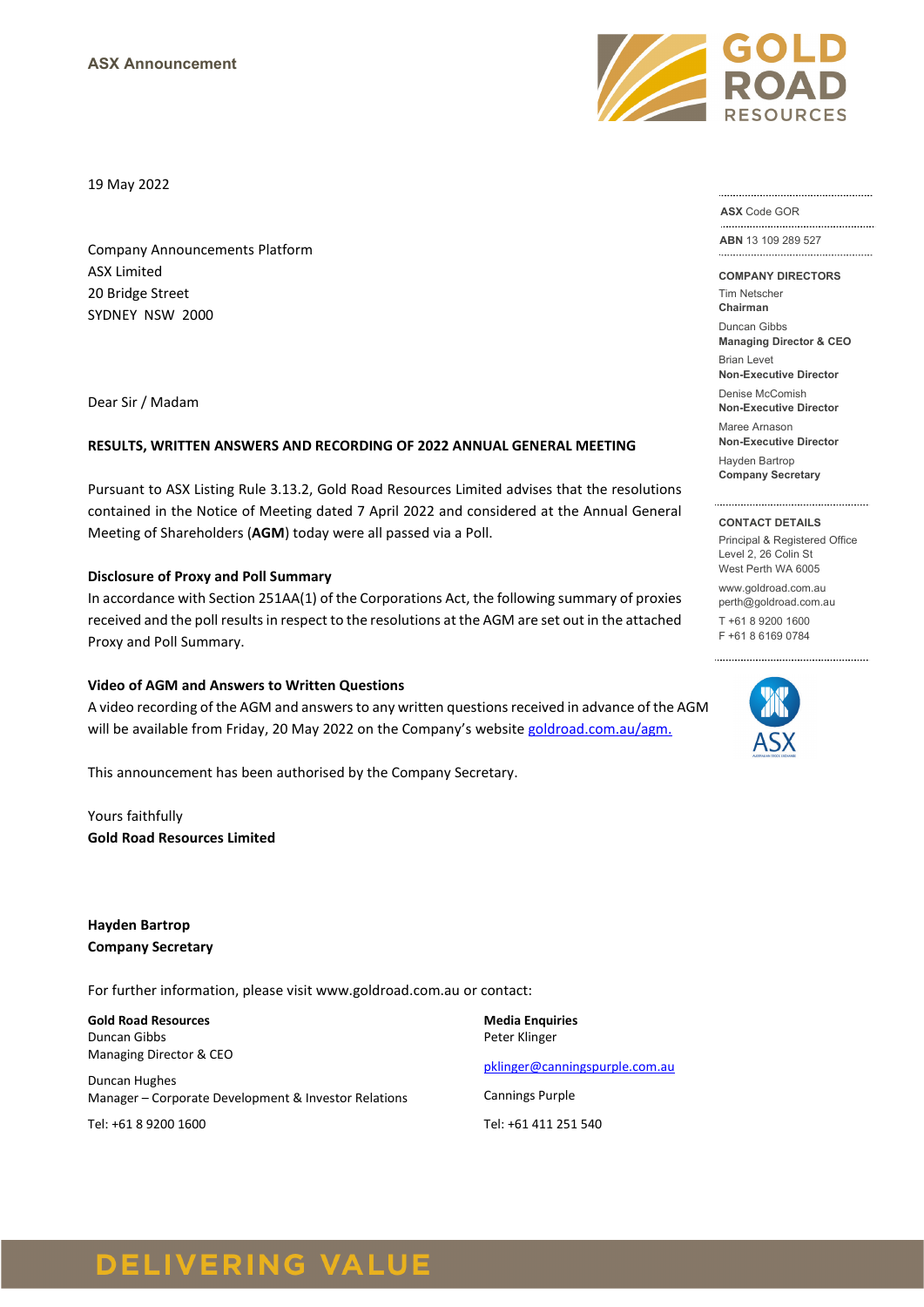19 May 2022

Company Announcements Platform ASX Limited 20 Bridge Street SYDNEY NSW 2000

Dear Sir / Madam

#### **RESULTS, WRITTEN ANSWERS AND RECORDING OF 2022 ANNUAL GENERAL MEETING**

Pursuant to ASX Listing Rule 3.13.2, Gold Road Resources Limited advises that the resolutions contained in the Notice of Meeting dated 7 April 2022 and considered at the Annual General Meeting of Shareholders (**AGM**) today were all passed via a Poll.

#### **Disclosure of Proxy and Poll Summary**

In accordance with Section 251AA(1) of the Corporations Act, the following summary of proxies received and the poll results in respect to the resolutions at the AGM are set out in the attached Proxy and Poll Summary.

#### **Video of AGM and Answers to Written Questions**

A video recording of the AGM and answers to any written questions received in advance of the AGM will be available from Friday, 20 May 2022 on the Company's websit[e goldroad.com.au/agm.](http://www.goldroad.com.au/agm)

This announcement has been authorised by the Company Secretary.

Yours faithfully **Gold Road Resources Limited**

**Hayden Bartrop Company Secretary**

For further information, please visit www.goldroad.com.au or contact:

**Gold Road Resources** Duncan Gibbs Managing Director & CEO

Duncan Hughes Manager – Corporate Development & Investor Relations

Tel: +61 8 9200 1600

**Media Enquiries** Peter Klinger [pklinger@canningspurple.com.au](mailto:pklinger@canningspurple.com.au) Cannings Purple

Tel: +61 411 251 540



**ASX** Code GOR

**ABN** 13 109 289 527 .................................

**COMPANY DIRECTORS**

Tim Netscher **Chairman**

Duncan Gibbs **Managing Director & CEO**

Brian Levet

**Non-Executive Director** Denise McComish

**Non-Executive Director** Maree Arnason

**Non-Executive Director**

Hayden Bartrop **Company Secretary**

#### **CONTACT DETAILS**

Principal & Registered Office Level 2, 26 Colin St West Perth WA 6005

www.goldroad.com.au perth@goldroad.com.au

T +61 8 9200 1600 F +61 8 6169 0784



# **DELIVERING VALUE**